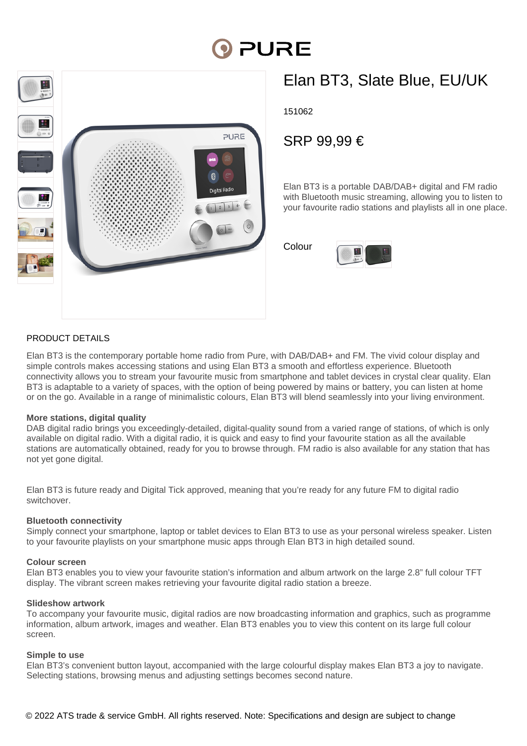# **DI PURE**



## Elan BT3, Slate Blue, EU/UK

151062

### SRP 99,99 €

Elan BT3 is a portable DAB/DAB+ digital and FM radio with Bluetooth music streaming, allowing you to listen to your favourite radio stations and playlists all in one place.

Colour



#### PRODUCT DETAILS

Elan BT3 is the contemporary portable home radio from Pure, with DAB/DAB+ and FM. The vivid colour display and simple controls makes accessing stations and using Elan BT3 a smooth and effortless experience. Bluetooth connectivity allows you to stream your favourite music from smartphone and tablet devices in crystal clear quality. Elan BT3 is adaptable to a variety of spaces, with the option of being powered by mains or battery, you can listen at home or on the go. Available in a range of minimalistic colours, Elan BT3 will blend seamlessly into your living environment.

#### **More stations, digital quality**

DAB digital radio brings you exceedingly-detailed, digital-quality sound from a varied range of stations, of which is only available on digital radio. With a digital radio, it is quick and easy to find your favourite station as all the available stations are automatically obtained, ready for you to browse through. FM radio is also available for any station that has not yet gone digital.

Elan BT3 is future ready and Digital Tick approved, meaning that you're ready for any future FM to digital radio switchover.

#### **Bluetooth connectivity**

Simply connect your smartphone, laptop or tablet devices to Elan BT3 to use as your personal wireless speaker. Listen to your favourite playlists on your smartphone music apps through Elan BT3 in high detailed sound.

#### **Colour screen**

Elan BT3 enables you to view your favourite station's information and album artwork on the large 2.8" full colour TFT display. The vibrant screen makes retrieving your favourite digital radio station a breeze.

#### **Slideshow artwork**

To accompany your favourite music, digital radios are now broadcasting information and graphics, such as programme information, album artwork, images and weather. Elan BT3 enables you to view this content on its large full colour screen.

#### **Simple to use**

Elan BT3's convenient button layout, accompanied with the large colourful display makes Elan BT3 a joy to navigate. Selecting stations, browsing menus and adjusting settings becomes second nature.